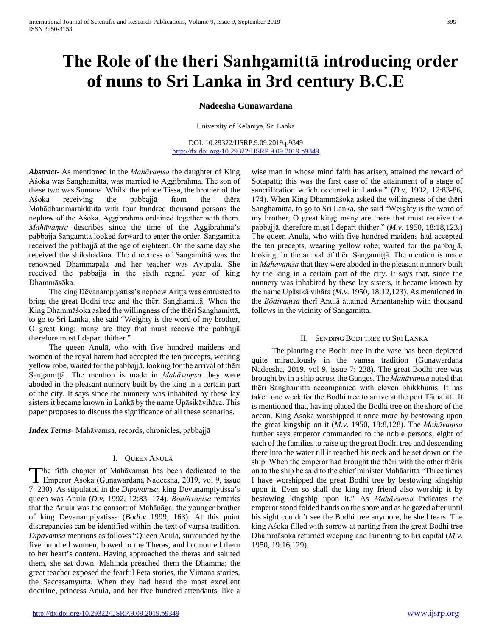# **The Role of the theri Sanhgamittā introducing order of nuns to Sri Lanka in 3rd century B.C.E**

# **Nadeesha Gunawardana**

University of Kelaniya, Sri Lanka

DOI: 10.29322/IJSRP.9.09.2019.p9349 <http://dx.doi.org/10.29322/IJSRP.9.09.2019.p9349>

*Abstract***-** As mentioned in the *Mahāvaṃsa* the daughter of King Aśoka was Sanghamittā, was married to Aggibrahma. The son of these two was Sumana. Whilst the prince Tissa, the brother of the Aśoka receiving the pabbajjā from the thēra Mahādhammarakkhita with four hundred thousand persons the nephew of the Aśoka, Aggibrahma ordained together with them. *Mahāvaṃsa* describes since the time of the Aggibrahma's pabbajjā Sangamttā looked forward to enter the order. Sangamittā received the pabbajjā at the age of eighteen. On the same day she received the shikshadāna. The directress of Sangamittā was the renowned Dhammapālā and her teacher was Ayupālā. She received the pabbajjā in the sixth regnal year of king Dhammāsōka.

 The king Dēvanampiyatiss's nephew Ariṭṭa was entrusted to bring the great Bodhi tree and the thēri Sanghamittā. When the King Dhammāśoka asked the willingness of the thēri Sanghamittā, to go to Sri Lanka, she said "Weighty is the word of my brother, O great king; many are they that must receive the pabbajjā therefore must I depart thither."

 The queen Anulā, who with five hundred maidens and women of the royal harem had accepted the ten precepts, wearing yellow robe, waited for the pabbajjā, looking for the arrival of thēri Sangamiṭṭā. The mention is made in *Mahāvaṃsa* they were aboded in the pleasant nunnery built by the king in a certain part of the city. It says since the nunnery was inhabited by these lay sisters it became known in Laṅkā by the name Upāsikāvihāra. This paper proposes to discuss the significance of all these scenarios.

*Index Terms*- Mahāvamsa, records, chronicles, pabbajjā

### I. QUEEN ANULĀ

The fifth chapter of Mahāvamsa has been dedicated to the The fifth chapter of Mahāvamsa has been dedicated to the<br>Emperor Aśoka (Gunawardana Nadeesha, 2019, vol 9, issue 7: 230). As stipulated in the *Dipavamsa*, king Devanampiytissa's queen was Anula (*D.v,* 1992, 12:83, 174). *Bodihvaṃsa* remarks that the Anula was the consort of Mahānāga, the younger brother of king Devanampiyatissa (*Bodi.v* 1999, 163). At this point discrepancies can be identified within the text of vaṃsa tradition. *Dipavamsa* mentions as follows "Queen Anula, surrounded by the five hundred women, bowed to the Theras, and hounoured them to her heart's content. Having approached the theras and saluted them, she sat down. Mahinda preached them the Dhamma; the great teacher exposed the fearful Peta stories, the Vimana stories, the Saccasamyutta. When they had heard the most excellent doctrine, princess Anula, and her five hundred attendants, like a

wise man in whose mind faith has arisen, attained the reward of Sotapatti; this was the first case of the attainment of a stage of sanctification which occurred in Lanka." (*D.v,* 1992, 12:83-86, 174). When King Dhammāśoka asked the willingness of the thēri Sanghamitta, to go to Sri Lanka, she said "Weighty is the word of my brother, O great king; many are there that must receive the pabbajjā, therefore must I depart thither." (*M.v*. 1950, 18:18,123.) The queen Anulā, who with five hundred maidens had accepted the ten precepts, wearing yellow robe, waited for the pabbajjā, looking for the arrival of thēri Sangamiṭṭā. The mention is made in *Mahāvaṃsa* that they were aboded in the pleasant nunnery built by the king in a certain part of the city. It says that, since the nunnery was inhabited by these lay sisters, it became known by the name Upāsikā vihāra (*M.v.* 1950, 18:12,123). As mentioned in the *Bōdivaṃsa* therī Anulā attained Arhantanship with thousand follows in the vicinity of Sangamitta.

# II. SENDING BODI TREE TO SRI LANKA

 The planting the Bodhi tree in the vase has been depicted quite miraculously in the vamsa tradition (Gunawardana Nadeesha, 2019, vol 9, issue 7: 238). The great Bodhi tree was brought by in a ship across the Ganges. The *Mahāvaṃsa* noted that thēri Sanghamitta accompanied with eleven bhikkhunis. It has taken one week for the Bodhi tree to arrive at the port Tāmalitti. It is mentioned that, having placed the Bodhi tree on the shore of the ocean, King Asoka worshipped it once more by bestowing upon the great kingship on it (*M.v.* 1950, 18:8,128). The *Mahāvaṃsa* further says emperor commanded to the noble persons, eight of each of the families to raise up the great Bodhi tree and descending there into the water till it reached his neck and he set down on the ship. When the emperor had brought the thēri with the other thēris on to the ship he said to the chief minister Mahāariṭṭa "Three times I have worshipped the great Bodhi tree by bestowing kingship upon it. Even so shall the king my friend also worship it by bestowing kingship upon it." As *Mahāvaṃsa* indicates the emperor stood folded hands on the shore and as he gazed after until his sight couldn't see the Bodhi tree anymore, he shed tears. The king Aśoka filled with sorrow at parting from the great Bodhi tree Dhammāśoka returned weeping and lamenting to his capital (*M.v.* 1950, 19:16,129).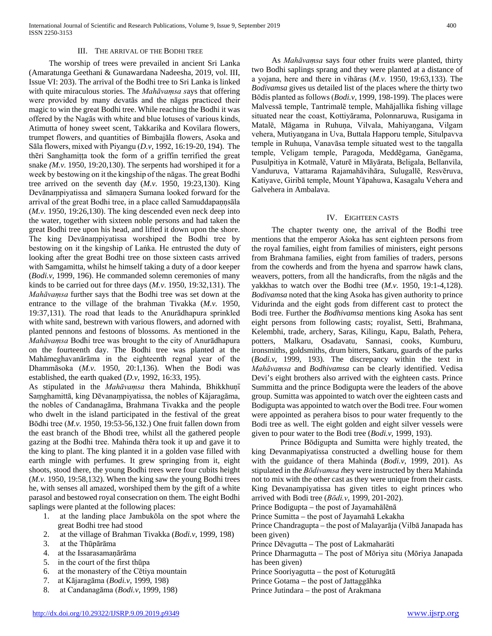#### III. THE ARRIVAL OF THE BODHI TREE

 The worship of trees were prevailed in ancient Sri Lanka (Amaratunga Geethani & Gunawardana Nadeesha, 2019, vol. III, Issue VI: 203). The arrival of the Bodhi tree to Sri Lanka is linked with quite miraculous stories. The *Mahāvaṃsa s*ays that offering were provided by many devatās and the nāgas practiced their magic to win the great Bodhi tree. While reaching the Bodhi it was offered by the Nagās with white and blue lotuses of various kinds, Atimutta of honey sweet scent, Takkarika and Kovilara flowers, trumpet flowers, and quantities of Bimbajāla flowers, Asoka and Sāla flowers, mixed with Piyangu (*D.v*, 1992, 16:19-20, 194). The thēri Sanghamitta took the form of a griffin terrified the great snake *(M.v.* 1950, 19:20,130). The serpents had worshiped it for a week by bestowing on it the kingship of the nāgas. The great Bodhi tree arrived on the seventh day (*M.v.* 1950, 19:23,130). King Devānaṃpiyatissa and sāmaṇera Sumana looked forward for the arrival of the great Bodhi tree, in a place called Samuddapaṇṇsāla (*M.v.* 1950, 19:26,130). The king descended even neck deep into the water, together with sixteen noble persons and had taken the great Bodhi tree upon his head, and lifted it down upon the shore. The king Devānaṃpiyatissa worshiped the Bodhi tree by bestowing on it the kingship of Laṅka. He entrusted the duty of looking after the great Bodhi tree on those sixteen casts arrived with Samgamitta, whilst he himself taking a duty of a door keeper (*Bodi.v,* 1999, 196). He commanded solemn ceremonies of many kinds to be carried out for three days (*M.v*. 1950, 19:32,131). The *Mahāvaṃsa* further says that the Bodhi tree was set down at the entrance to the village of the brahman Tivakka (*M.v.* 1950, 19:37,131). The road that leads to the Anurādhapura sprinkled with white sand, bestrewn with various flowers, and adorned with planted pennons and festoons of blossoms. As mentioned in the *Mahāvaṃsa* Bodhi tree was brought to the city of Anurādhapura on the fourteenth day. The Bodhi tree was planted at the Mahāmeghavanārāma in the eighteenth regnal year of the Dhammāsoka (*M.v.* 1950, 20:1,136). When the Bodi was established, the earth quaked (*D.v,* 1992, 16:33, 195).

As stipulated in the *Mahāvaṃsa* thera Mahinda, Bhikkhuṇῑ Saṃghamittā, king Dēvanaṃpiyatissa, the nobles of Kājaragāma, the nobles of Candanagāma, Brahmana Tivakka and the people who dwelt in the island participated in the festival of the great Bōdhi tree (*M.v.* 1950, 19:53-56,132.) One fruit fallen down from the east branch of the Bhodi tree, whilst all the gathered people gazing at the Bodhi tree. Mahinda thēra took it up and gave it to the king to plant. The king planted it in a golden vase filled with earth mingle with perfumes. It grew springing from it, eight shoots, stood there, the young Bodhi trees were four cubits height (*M.v.* 1950, 19:58,132). When the king saw the young Bodhi trees he, with senses all amazed, worshiped them by the gift of a white parasol and bestowed royal consecration on them. The eight Bodhi saplings were planted at the following places:

- 1. at the landing place Jambukōla on the spot where the great Bodhi tree had stood
- 2. at the village of Brahman Tivakka (*Bodi.v*, 1999, 198)
- 3. at the Thūpārāma
- 4. at the Issarasamaṇārāma
- 5. in the court of the first thūpa
- 6. at the monastery of the Cētiya mountain
- 7. at Kājaragāma (*Bodi.v*, 1999, 198)
- 8. at Candanagāma (*Bodi.v*, 1999, 198)

 As *Mahāvaṃsa* says four other fruits were planted, thirty two Bodhi saplings sprang and they were planted at a distance of a yojana, here and there in vihāras (*M.v.* 1950, 19:63,133). The *Bodivamsa* gives us detailed list of the places where the thirty two Bōdis planted as follows (*Bodi.v,* 1999, 198-199). The places were Malvessā temple, Tantrimalē temple, Mahājallika fishing village situated near the coast, Kottiyārama, Polonnaruwa, Rusigama in Matalē, Māgama in Ruhuṇa, Vilvala, Mahiyaṇgana, Vilgam vehera, Mutiyaṇgana in Uva, Buttala Happoru temple, Situlpavva temple in Ruhuṇa, Vanavāsa temple situated west to the taṇgalla temple, Veligam temple, Paragoda, Meddēgama, Ganēgama, Pusulpitiya in Kotmalē, Vaturē in Māyārata, Beligala, Bellanvila, Vanduruva, Vattarama Rajamahāvihāra, Sulugallē, Resvēruva, Katiyave, Giribā temple, Mount Yāpahuwa, Kasagalu Vehera and Galvehera in Ambalava.

### IV. EIGHTEEN CASTS

 The chapter twenty one, the arrival of the Bodhi tree mentions that the emperor Aśoka has sent eighteen persons from the royal families, eight from families of ministers, eight persons from Brahmana families, eight from families of traders, persons from the cowherds and from the hyena and sparrow hawk clans, weavers, potters, from all the handicrafts, from the nāgās and the yakkhas to watch over the Bodhi tree (*M.v.* 1950, 19:1-4,128). *Bodivamsa* noted that the king Asoka has given authority to prince Vidurinda and the eight gods from different cast to protect the Bodi tree. Further the *Bodhivamsa* mentions king Asoka has sent eight persons from following casts; royalist, Setti, Brahmana, Kelembhi, trade, archery, Saras, Kilingu, Kapu, Balath, Pehera, potters, Malkaru, Osadavatu, Sannasi, cooks, Kumburu, ironsmiths, goldsmiths, drum bitters, Satkaru, guards of the parks (*Bodi.v*, 1999, 193). The discrepancy within the text in *Mahāvaṃsa* and *Bodhivamsa* can be clearly identified. Vedisa Devi's eight brothers also arrived with the eighteen casts. Prince Summitta and the prince Bodigupta were the leaders of the above group. Sumitta was appointed to watch over the eighteen casts and Bodigupta was appointed to watch over the Bodi tree. Four women were appointed as perahera bisos to pour water frequently to the Bodi tree as well. The eight golden and eight silver vessels were given to pour water to the Bodi tree (*Bodi.v*, 1999, 193).

Prince Bōdigupta and Sumitta were highly treated, the king Devanmapiyatissa constructed a dwelling house for them with the guidance of thera Mahinda (*Bodi.v*, 1999, 201). As stipulated in the *Bōdivamsa t*hey were instructed by thera Mahinda not to mix with the other cast as they were unique from their casts. King Devanampiyatissa has given titles to eight princes who arrived with Bodi tree (*Bōdi.v*, 1999, 201-202).

- Prince Bodigupta the post of Jayamahālēnā
- Prince Sumitta the post of Jayamahā Lekakha
- Prince Chandragupta the post of Malayarāja (Vilbā Janapada has been given)
- Prince Dēvagutta The post of Lakmaharäti
- Prince Dharmagutta The post of Mōriya situ (Mōriya Janapada has been given)
- Prince Sooriyagutta the post of Koturugātā
- Prince Gotama the post of Jattaggāhka
- Prince Jutindara the post of Arakmana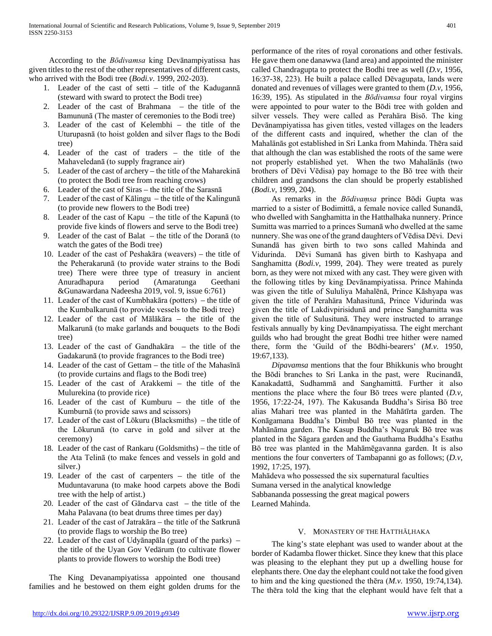According to the *Bōdivamsa* king Devānampiyatissa has given titles to the rest of the other representatives of different casts, who arrived with the Bodi tree (*Bodi.v*. 1999, 202-203).

- 1. Leader of the cast of setti title of the Kadugannā (steward with sward to protect the Bodi tree)
- 2. Leader of the cast of Brahmana the title of the Bamununā (The master of ceremonies to the Bodi tree)
- 3. Leader of the cast of Kelembhi the title of the Uturupasnā (to hoist golden and silver flags to the Bodi tree)
- 4. Leader of the cast of traders the title of the Mahaveledanā (to supply fragrance air)
- 5. Leader of the cast of archery the title of the Maharekinā (to protect the Bodi tree from reaching crows)
- 6. Leader of the cast of Siras the title of the Sarasnā
- 7. Leader of the cast of Kālingu the title of the Kalingunā (to provide new flowers to the Bodi tree)
- 8. Leader of the cast of Kapu the title of the Kapunā (to provide five kinds of flowers and serve to the Bodi tree)
- 9. Leader of the cast of Balat the title of the Doranā (to watch the gates of the Bodi tree)
- 10. Leader of the cast of Peshakāra (weavers) the title of the Peherakarunā (to provide water strains to the Bodi tree) There were three type of treasury in ancient Anuradhapura period (Amaratunga Geethani &Gunawardana Nadeesha 2019, vol. 9, issue 6:761)
- 11. Leader of the cast of Kumbhakāra (potters) the title of the Kumbalkarunā (to provide vessels to the Bodi tree)
- 12. Leader of the cast of Mālākāra the title of the Malkarunā (to make garlands and bouquets to the Bodi tree)
- 13. Leader of the cast of Gandhakāra the title of the Gadakarunā (to provide fragrances to the Bodi tree)
- 14. Leader of the cast of Gettam the title of the Mahasīnā (to provide curtains and flags to the Bodi tree)
- 15. Leader of the cast of Arakkemi the title of the Mulurekina (to provide rice)
- 16. Leader of the cast of Kumburu the title of the Kumburnā (to provide saws and scissors)
- 17. Leader of the cast of Lōkuru (Blacksmiths) the title of the Lōkurunā (to carve in gold and silver at the ceremony)
- 18. Leader of the cast of Rankaru (Goldsmiths) the title of the Ata Telinā (to make fences and vessels in gold and silver.)
- 19. Leader of the cast of carpenters the title of the Muduntavaruna (to make hood carpets above the Bodi tree with the help of artist.)
- 20. Leader of the cast of Gāndarva cast the title of the Maha Palavana (to beat drums three times per day)
- 21. Leader of the cast of Jatrakāra the title of the Satkrunā (to provide flags to worship the Bo tree)
- 22. Leader of the cast of Udyānapāla (guard of the parks) the title of the Uyan Gov Vedärum (to cultivate flower plants to provide flowers to worship the Bodi tree)

 The King Devanampiyatissa appointed one thousand families and he bestowed on them eight golden drums for the

performance of the rites of royal coronations and other festivals. He gave them one danawwa (land area) and appointed the minister called Chandragupta to protect the Bodhi tree as well (*D.v,* 1956, 16:37-38, 223). He built a palace called Dēvagupata, lands were donated and revenues of villages were granted to them (*D.v,* 1956, 16:39, 195). As stipulated in the *Bōdivamsa* four royal virgins were appointed to pour water to the Bōdi tree with golden and silver vessels. They were called as Perahära Bisō. The king Devānampiyatissa has given titles, vested villages on the leaders of the different casts and inquired, whether the clan of the Mahalänās got established in Sri Lanka from Mahinda. Thēra said that although the clan was established the roots of the same were not properly established yet. When the two Mahalänās (two brothers of Dēvi Vēdisa) pay homage to the Bō tree with their children and grandsons the clan should be properly established (*Bodi.v*, 1999, 204).

 As remarks in the *Bōdivaṃsa* prince Bōdi Gupta was married to a sister of Bodimittā, a female novice called Sunandā, who dwelled with Sanghamitta in the Hatthalhaka nunnery. Prince Sumitta was married to a princes Sumanā who dwelled at the same nunnery. She was one of the grand daughters of Vēdisa Dēvi. Devi Sunandā has given birth to two sons called Mahinda and Vidurinda. Dēvi Sumanā has given birth to Kashyapa and Sanghamitta (*Bodi.v*, 1999, 204). They were treated as purely born, as they were not mixed with any cast. They were given with the following titles by king Devānampiyatissa. Prince Mahinda was given the title of Sululiya Mahalēnā, Prince Kāshyapa was given the title of Perahära Mahasitunā, Prince Vidurinda was given the title of Lakdivpirisidunā and prince Sanghamitta was given the title of Sulusitunā. They were instructed to arrange festivals annually by king Devānampiyatissa. The eight merchant guilds who had brought the great Bodhi tree hither were named there, form the 'Guild of the Bōdhi-bearers' (*M.v.* 1950, 19:67,133).

 *Dipavamsa* mentions that the four Bhikkunis who brought the Bōdi branches to Sri Lanka in the past, were Rucinandā, Kanakadattā, Sudhammā and Sanghamittā. Further it also mentions the place where the four Bō trees were planted (*D.v*, 1956, 17:22-24, 197). The Kakusanda Buddha's Sirisa Bō tree alias Mahari tree was planted in the Mahātīrta garden. The Konāgamana Buddha's Dimbul Bō tree was planted in the Mahānāma garden. The Kasup Buddha's Nugaruk Bō tree was planted in the Sāgara garden and the Gauthama Buddha's Esathu Bō tree was planted in the Mahāmēgavanna garden. It is also mentions the four converters of Tambapanni go as follows; (*D.v*, 1992, 17:25, 197).

Mahādeva who possessed the six supernatural faculties

Sumana versed in the analytical knowledge

Sabbananda possessing the great magical powers Learned Mahinda.

# V. MONASTERY OF THE HATTHĀḶHAKA

 The king's state elephant was used to wander about at the border of Kadamba flower thicket. Since they knew that this place was pleasing to the elephant they put up a dwelling house for elephants there. One day the elephant could not take the food given to him and the king questioned the thēra (*M.v.* 1950, 19:74,134). The thēra told the king that the elephant would have felt that a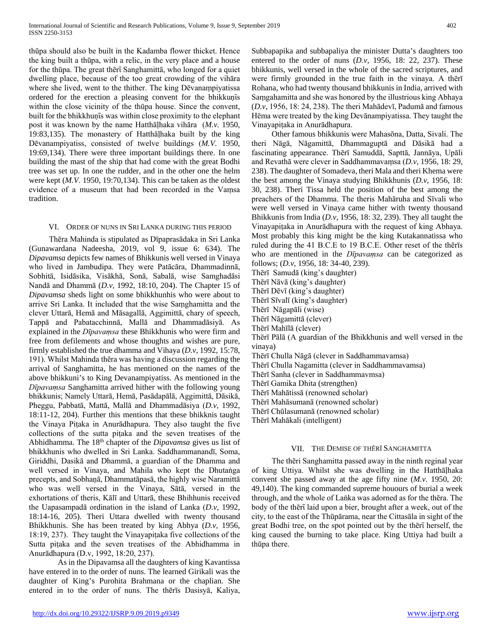thūpa should also be built in the Kadamba flower thicket. Hence the king built a thūpa, with a relic, in the very place and a house for the thūpa. The great thērī Sanghamittā, who longed for a quiet dwelling place, because of the too great crowding of the vihāra where she lived, went to the thither. The king Dēvanaṃpiyatissa ordered for the erection a pleasing convent for the bhikkuṇīs within the close vicinity of the thūpa house. Since the convent, built for the bhikkhuṇīs was within close proximity to the elephant post it was known by the name Hatthāḷhaka vihāra (*M.v.* 1950, 19:83,135). The monastery of Hatthāḷhaka built by the king Dēvanampiyatiss, consisted of twelve buildings (*M.V.* 1950, 19:69,134). There were three important buildings there. In one building the mast of the ship that had come with the great Bodhi tree was set up. In one the rudder, and in the other one the helm were kept (*M.V*. 1950, 19:70,134). This can be taken as the oldest evidence of a museum that had been recorded in the Vaṃsa tradition.

# VI. ORDER OF NUNS IN SRI LANKA DURING THIS PERIOD

 Thēra Mahinda is stipulated as Dīpaprasādaka in Sri Lanka (Gunawardana Nadeesha, 2019, vol 9, issue 6: 634). The *Dipavamsa* depicts few names of Bhikkunis well versed in Vinaya who lived in Jambudipa. They were Patācāra, Dhammadinnā, Sobhitā, Isidāsika, Visākhā, Sonā, Sabalā, wise Samghadāsi Nandā and Dhammā (*D.v,* 1992, 18:10, 204). The Chapter 15 of *Dipavamsa* sheds light on some bhikkhunhis who were about to arrive Sri Lanka. It included that the wise Saṃghamitta and the clever Uttarā, Hemā and Māsagallā, Aggimittā, chary of speech, Tappā and Pabatacchinnā, Mallā and Dhammadāsiyā. As explained in the *Dīpavaṃsa* these Bhikkhunis who were firm and free from defilements and whose thoughts and wishes are pure, firmly established the true dhamma and Vihaya (*D.v*, 1992, 15:78, 191). Whilst Mahinda thēra was having a discussion regarding the arrival of Sanghamitta, he has mentioned on the names of the above bhikkuni's to King Devanampiyatiss. As mentioned in the *Dīpavaṃsa* Sanghamitta arrived hither with the following young bhikkunis; Namely Uttarā, Hemā, Pasādapālā, Aggimittā, Dāsikā, Pheggu, Pabbatā, Mattā, Mallā and Dhammadāsiya (*D.v,* 1992, 18:11-12, 204). Further this mentions that these bhikknis taught the Vinaya Piṭaka in Anurādhapura. They also taught the five collections of the sutta piṭaka and the seven treatises of the Abhidhamma. The 18th chapter of the *Dipavamsa* gives us list of bhikkhunis who dwelled in Sri Lanka. Saddhammanandī, Soma, Giriddhi, Dasikā and Dhammā, a guardian of the Dhamma and well versed in Vinaya, and Mahila who kept the Dhutaṅga precepts, and Sobhaṇā, Dhammatāpasā, the highly wise Naramittā who was well versed in the Vinaya, Sātā, versed in the exhortations of theris, Kālī and Uttarā, these Bhihhunis received the Uapasampadā ordination in the island of Lanka (*D.v,* 1992, 18:14-16, 205). Theri Uttara dwelled with twenty thousand Bhikkhunis. She has been treated by king Abhya (*D.v,* 1956, 18:19, 237). They taught the Vinayapiṭaka five collections of the Sutta piṭaka and the seven treatises of the Abhidhamma in Anurādhapura (D.v, 1992, 18:20, 237).

As in the Dipavamsa all the daughters of king Kavantissa have entered in to the order of nuns. The learned Girikali was the daughter of King's Purohita Brahmana or the chaplian. She entered in to the order of nuns. The thērīs Dasisyā, Kaliya,

Subbapapika and subbapaliya the minister Dutta's daughters too entered to the order of nuns (*D.v,* 1956, 18: 22, 237). These bhikkunis, well versed in the whole of the sacred scriptures, and were firmly grounded in the true faith in the vinaya. A thērī Rohana, who had twenty thousand bhikkunis in India, arrived with Saṃgahamitta and she was honored by the illustrious king Abhaya (*D.v,* 1956, 18: 24, 238). The theri Mahādevī, Padumā and famous Hēma were treated by the king Devānampiyatissa. They taught the Vinayapiṭaka in Anurādhapura.

 Other famous bhikkunis were Mahasōna, Datta, Sivali. The theri Nāgā, Nāgamittā, Dhammaguptā and Dāsikā had a fascinating appearance. Thērī Samuddā, Sapttā, Jannāya, Upāli and Revathā were clever in Saddhammavaṃsa (*D.v*, 1956, 18: 29, 238). The daughter of Somadeva, theri Mala and theri Khema were the best among the Vinaya studying Bhikkhunis (*D.v*, 1956, 18: 30, 238). Theri Tissa held the position of the best among the preachers of the Dhamma. The theris Mahāruha and Sīvali who were well versed in Vinaya came hither with twenty thousand Bhikkunis from India (*D.v*, 1956, 18: 32, 239). They all taught the Vinayapitaka in Anurādhapura with the request of king Abhaya. Most probably this king might be the king Kutakannatissa who ruled during the 41 B.C.E to 19 B.C.E. Other reset of the thērīs who are mentioned in the *Dīpavaṃsa* can be categorized as follows; (*D.v,* 1956, 18: 34-40, 239).

- Thērī Samudā (king's daughter)
- Thērī Nāvā (king's daughter)
- Thērī Dēvī (king's daughter)
- Thērī Sīvalī (king's daughter)
- Thērī Nāgapāli (wise)
- Thērī Nāgamittā (clever)
- Thērī Mahīlā (clever)
- 
- Thērī Pālā (A guardian of the Bhikkhunis and well versed in the vinaya)
- Thērī Chulla Nāgā (clever in Saddhammavamsa)
- Thērī Chulla Nagamitta (clever in Saddhammavamsa)
- Thērī Sanha (clever in Saddhammavmsa)
- Thērī Gamika Dhita (strengthen)
- Thērī Mahātissā (renowned scholar)
- Thērī Mahāsumanā (renowned scholar)
- Thērī Chūlasumanā (renowned scholar)
- Thērī Mahākali (intelligent)

# VII. THE DEMISE OF THĒRĪ SANGHAMITTA

 The thēri Sanghamitta passed away in the ninth reginal year of king Uttiya. Whilst she was dwelling in the Hatthāḷhaka convent she passed away at the age fifty nine (*M.v.* 1950, 20: 49,140). The king commanded supreme houours of burial a week through, and the whole of Laṅka was adorned as for the thēra. The body of the thert laid upon a bier, brought after a week, out of the city, to the east of the Thūpārama, near the Cittasāla in sight of the great Bodhi tree, on the spot pointed out by the there herself, the king caused the burning to take place. King Uttiya had built a thūpa there.